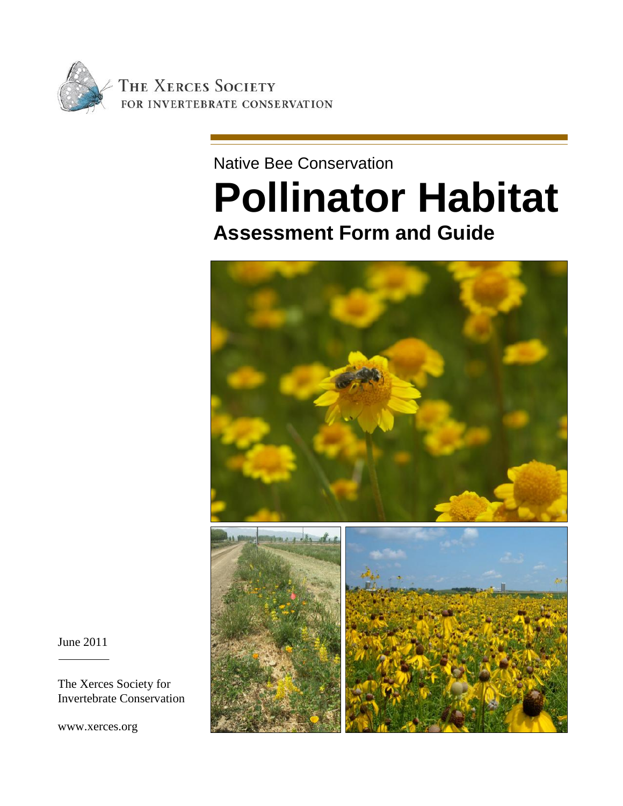

### Native Bee Conservation

# **Pollinator Habitat Assessment Form and Guide**



June 2011

The Xerces Society for Invertebrate Conservation

www.xerces.org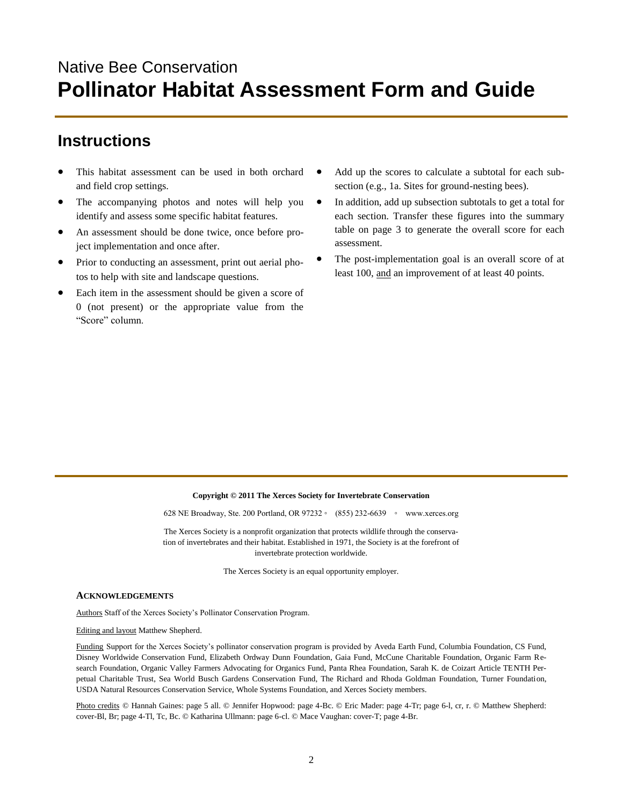## Native Bee Conservation **Pollinator Habitat Assessment Form and Guide**

### **Instructions**

- This habitat assessment can be used in both orchard and field crop settings.
- The accompanying photos and notes will help you identify and assess some specific habitat features.
- An assessment should be done twice, once before project implementation and once after.
- Prior to conducting an assessment, print out aerial photos to help with site and landscape questions.
- Each item in the assessment should be given a score of 0 (not present) or the appropriate value from the "Score" column.
- Add up the scores to calculate a subtotal for each subsection (e.g., 1a. Sites for ground-nesting bees).
- In addition, add up subsection subtotals to get a total for each section. Transfer these figures into the summary table on page 3 to generate the overall score for each assessment.
- The post-implementation goal is an overall score of at least 100, and an improvement of at least 40 points.

### **Copyright © 2011 The Xerces Society for Invertebrate Conservation**

628 NE Broadway, Ste. 200 Portland, OR 97232 ◦ (855) 232-6639 ◦ www.xerces.org

The Xerces Society is a nonprofit organization that protects wildlife through the conservation of invertebrates and their habitat. Established in 1971, the Society is at the forefront of invertebrate protection worldwide.

The Xerces Society is an equal opportunity employer.

### **ACKNOWLEDGEMENTS**

Authors Staff of the Xerces Society's Pollinator Conservation Program.

#### Editing and layout Matthew Shepherd.

Funding Support for the Xerces Society's pollinator conservation program is provided by Aveda Earth Fund, Columbia Foundation, CS Fund, Disney Worldwide Conservation Fund, Elizabeth Ordway Dunn Foundation, Gaia Fund, McCune Charitable Foundation, Organic Farm Research Foundation, Organic Valley Farmers Advocating for Organics Fund, Panta Rhea Foundation, Sarah K. de Coizart Article TENTH Perpetual Charitable Trust, Sea World Busch Gardens Conservation Fund, The Richard and Rhoda Goldman Foundation, Turner Foundation, USDA Natural Resources Conservation Service, Whole Systems Foundation, and Xerces Society members.

Photo credits © Hannah Gaines: page 5 all. © Jennifer Hopwood: page 4-Bc. © Eric Mader: page 4-Tr; page 6-l, cr, r. © Matthew Shepherd: cover-Bl, Br; page 4-Tl, Tc, Bc. © Katharina Ullmann: page 6-cl. © Mace Vaughan: cover-T; page 4-Br.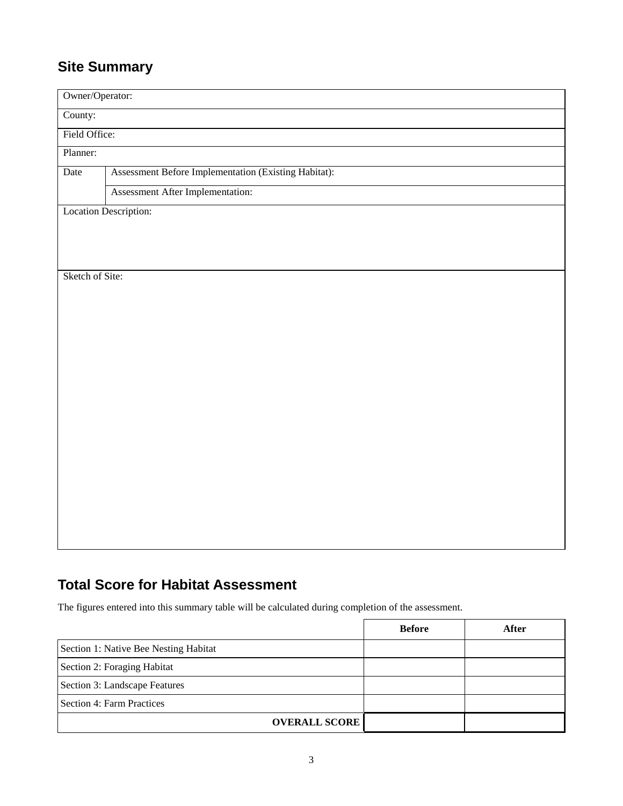### **Site Summary**

| Owner/Operator: |                                                      |  |  |  |  |  |  |  |
|-----------------|------------------------------------------------------|--|--|--|--|--|--|--|
| County:         |                                                      |  |  |  |  |  |  |  |
|                 | Field Office:                                        |  |  |  |  |  |  |  |
| Planner:        |                                                      |  |  |  |  |  |  |  |
| Date            | Assessment Before Implementation (Existing Habitat): |  |  |  |  |  |  |  |
|                 | Assessment After Implementation:                     |  |  |  |  |  |  |  |
|                 | <b>Location Description:</b>                         |  |  |  |  |  |  |  |
|                 |                                                      |  |  |  |  |  |  |  |
|                 |                                                      |  |  |  |  |  |  |  |
| Sketch of Site: |                                                      |  |  |  |  |  |  |  |
|                 |                                                      |  |  |  |  |  |  |  |
|                 |                                                      |  |  |  |  |  |  |  |
|                 |                                                      |  |  |  |  |  |  |  |
|                 |                                                      |  |  |  |  |  |  |  |
|                 |                                                      |  |  |  |  |  |  |  |
|                 |                                                      |  |  |  |  |  |  |  |
|                 |                                                      |  |  |  |  |  |  |  |
|                 |                                                      |  |  |  |  |  |  |  |
|                 |                                                      |  |  |  |  |  |  |  |
|                 |                                                      |  |  |  |  |  |  |  |
|                 |                                                      |  |  |  |  |  |  |  |
|                 |                                                      |  |  |  |  |  |  |  |
|                 |                                                      |  |  |  |  |  |  |  |
|                 |                                                      |  |  |  |  |  |  |  |
|                 |                                                      |  |  |  |  |  |  |  |

### **Total Score for Habitat Assessment**

The figures entered into this summary table will be calculated during completion of the assessment.

|                                       | <b>Before</b> | After |
|---------------------------------------|---------------|-------|
| Section 1: Native Bee Nesting Habitat |               |       |
| Section 2: Foraging Habitat           |               |       |
| Section 3: Landscape Features         |               |       |
| Section 4: Farm Practices             |               |       |
| <b>OVERALL SCORE</b>                  |               |       |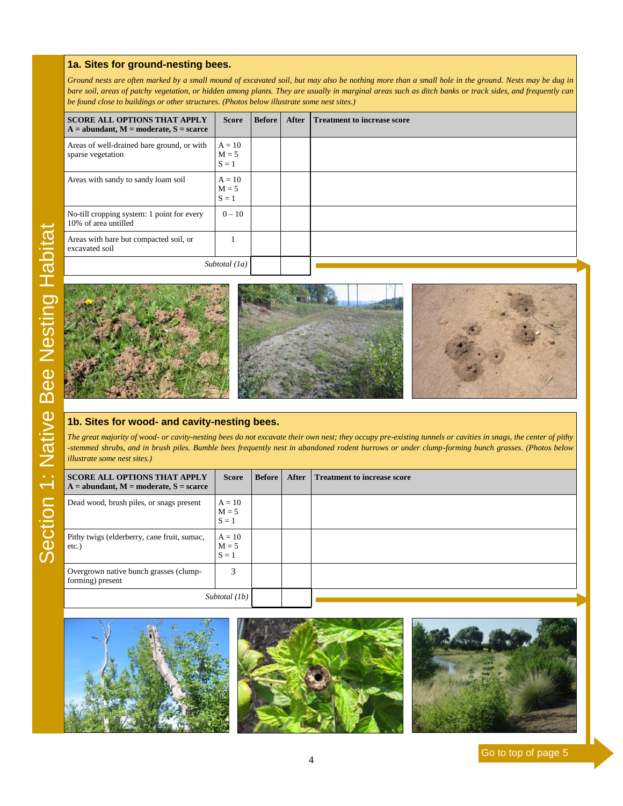### **1a. Sites for ground -nesting bees.**

Ground nests are often marked by a small mound of excavated soil, but may also be nothing more than a small hole in the ground. Nests may be dug in bare soil, areas of patchy vegetation, or hidden among plants. They are usually in marginal areas such as ditch banks or track sides, and frequently can *be found close to buildings or other structures. (Photos below illustrate some nest sites.)*

| <b>SCORE ALL OPTIONS THAT APPLY</b><br>$A =$ abundant, $M =$ moderate, $S =$ scarce | <b>Score</b>                   | <b>Before</b> | After | <b>Treatment to increase score</b> |
|-------------------------------------------------------------------------------------|--------------------------------|---------------|-------|------------------------------------|
| Areas of well-drained bare ground, or with<br>sparse vegetation                     | $A = 10$<br>$M = 5$<br>$S = 1$ |               |       |                                    |
| Areas with sandy to sandy loam soil                                                 | $A = 10$<br>$M = 5$<br>$S = 1$ |               |       |                                    |
| No-till cropping system: 1 point for every<br>10% of area untilled                  | $0 - 10$                       |               |       |                                    |
| Areas with bare but compacted soil, or<br>excavated soil                            |                                |               |       |                                    |
|                                                                                     | Subtotal (1a)                  |               |       |                                    |









### **1b. Sites for wood - and cavity -nesting bees.**

*The great majority of wood - or cavity -nesting bees do not excavate their own nest; they occupy pre -existing tunnels or cavities in snags, the center of pithy -stemmed shrubs, and in brush piles. Bumble bees frequently nest in abandoned rodent burrows or under clump -forming bunch grasses. (Photos below illustrate some nest sites.)*

| <b>SCORE ALL OPTIONS THAT APPLY</b><br>$A =$ abundant, $M =$ moderate, $S =$ scarce | <b>Score</b>                   | <b>Before</b> | After | <b>Treatment to increase score</b> |
|-------------------------------------------------------------------------------------|--------------------------------|---------------|-------|------------------------------------|
| Dead wood, brush piles, or snags present                                            | $A = 10$<br>$M = 5$<br>$S = 1$ |               |       |                                    |
| Pithy twigs (elderberry, cane fruit, sumac,<br>etc.)                                | $A = 10$<br>$M = 5$<br>$S = 1$ |               |       |                                    |
| Overgrown native bunch grasses (clump-<br>forming) present                          | 3                              |               |       |                                    |
| Subtotal (1b)                                                                       |                                |               |       |                                    |







Go to top of page 5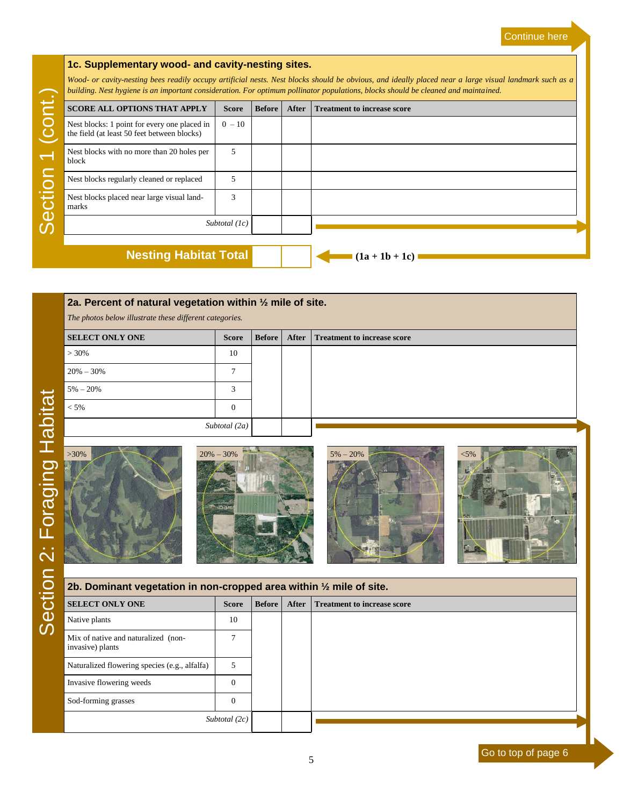### **1c. Supplementary wood- and cavity-nesting sites.**

*Wood- or cavity-nesting bees readily occupy artificial nests. Nest blocks should be obvious, and ideally placed near a large visual landmark such as a building. Nest hygiene is an important consideration. For optimum pollinator populations, blocks should be cleaned and maintained.*

|                          |                                                                                             |                 |               | building. Nest hygiene is an important consideration. For optimum pollinator populations, blocks should be cleaned and maintained. |                                    |  |  |  |
|--------------------------|---------------------------------------------------------------------------------------------|-----------------|---------------|------------------------------------------------------------------------------------------------------------------------------------|------------------------------------|--|--|--|
| $\overline{\phantom{a}}$ | <b>SCORE ALL OPTIONS THAT APPLY</b>                                                         | <b>Score</b>    | <b>Before</b> | After                                                                                                                              | <b>Treatment to increase score</b> |  |  |  |
|                          | Nest blocks: 1 point for every one placed in<br>the field (at least 50 feet between blocks) | $0 - 10$        |               |                                                                                                                                    |                                    |  |  |  |
|                          | Nest blocks with no more than 20 holes per<br>block                                         | 5               |               |                                                                                                                                    |                                    |  |  |  |
| $\overline{O}$           | Nest blocks regularly cleaned or replaced                                                   | 5               |               |                                                                                                                                    |                                    |  |  |  |
| 五                        | Nest blocks placed near large visual land-<br>marks                                         | 3               |               |                                                                                                                                    |                                    |  |  |  |
| $\omega$                 |                                                                                             | Subtotal $(lc)$ |               |                                                                                                                                    |                                    |  |  |  |
|                          | <b>Nesting Habitat Total</b>                                                                |                 |               |                                                                                                                                    |                                    |  |  |  |
|                          |                                                                                             |                 |               |                                                                                                                                    | $(1a + 1b + 1c)$                   |  |  |  |

| 2a. Percent of natural vegetation within $\frac{1}{2}$ mile of site. |               |               |       |                                    |  |  |  |
|----------------------------------------------------------------------|---------------|---------------|-------|------------------------------------|--|--|--|
| The photos below illustrate these different categories.              |               |               |       |                                    |  |  |  |
| <b>SELECT ONLY ONE</b>                                               | <b>Score</b>  | <b>Before</b> | After | <b>Treatment to increase score</b> |  |  |  |
| $>30\%$                                                              | 10            |               |       |                                    |  |  |  |
| $20\% - 30\%$                                                        |               |               |       |                                    |  |  |  |
| $5\% - 20\%$                                                         | 3             |               |       |                                    |  |  |  |
| $< 5\%$                                                              | $\Omega$      |               |       |                                    |  |  |  |
|                                                                      | Subtotal (2a) |               |       |                                    |  |  |  |









| 2b. Dominant vegetation in non-cropped area within $\frac{1}{2}$ mile of site. |                 |               |              |                                    |  |  |
|--------------------------------------------------------------------------------|-----------------|---------------|--------------|------------------------------------|--|--|
| <b>SELECT ONLY ONE</b>                                                         | <b>Score</b>    | <b>Before</b> | <b>After</b> | <b>Treatment to increase score</b> |  |  |
| Native plants                                                                  | 10              |               |              |                                    |  |  |
| Mix of native and naturalized (non-<br>invasive) plants                        | π               |               |              |                                    |  |  |
| Naturalized flowering species (e.g., alfalfa)                                  | 5               |               |              |                                    |  |  |
| Invasive flowering weeds                                                       | $\Omega$        |               |              |                                    |  |  |
| Sod-forming grasses                                                            | $\overline{0}$  |               |              |                                    |  |  |
|                                                                                | Subtotal $(2c)$ |               |              |                                    |  |  |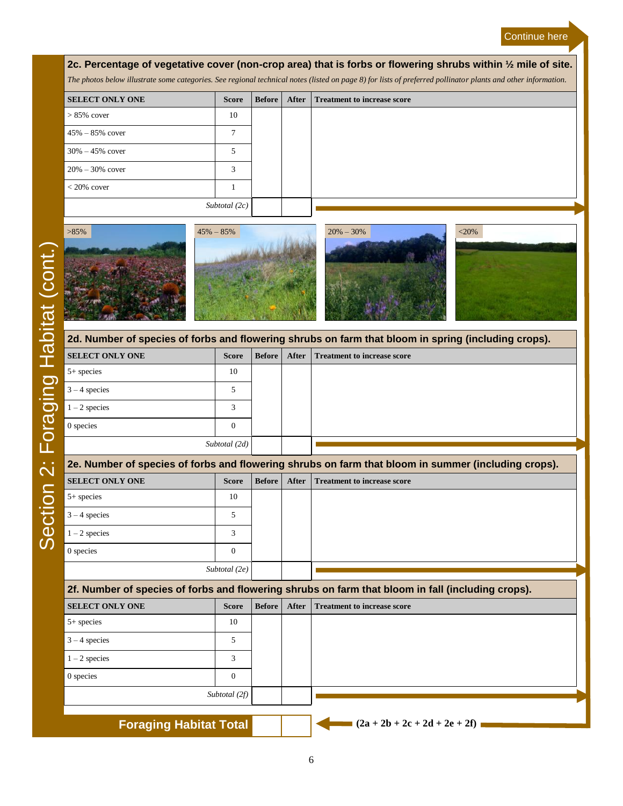### Continue here

### **2c. Percentage of vegetative cover (non-crop area) that is forbs or flowering shrubs within ½ mile of site.** *The photos below illustrate some categories. See regional technical notes (listed on page 8) for lists of preferred pollinator plants and other information.* **SELECT ONLY ONE Score Before After Treatment to increase score**

| <b>SELECT ONLY ONE</b> | score | <b>Before</b> | Aiter | <b>Treatment to increase score</b> |
|------------------------|-------|---------------|-------|------------------------------------|
| $> 85\%$ cover         | 10    |               |       |                                    |
| $45\% - 85\%$ cover    |       |               |       |                                    |
| $30\% - 45\%$ cover    | 5     |               |       |                                    |
| $20\% - 30\%$ cover    | 3     |               |       |                                    |
| $< 20\%$ cover         |       |               |       |                                    |
| Subtotal $(2c)$        |       |               |       |                                    |
|                        |       |               |       |                                    |

| $>85\%$ | $45\% - 85\%$ | $20\% - 30\%$                                                                                       | $<$ 20% |
|---------|---------------|-----------------------------------------------------------------------------------------------------|---------|
|         |               | 2d. Number of species of forbs and flowering shrubs on farm that bloom in spring (including crops). |         |

| <u>zu. Namber or species or forbs and nowering sin abs on farm that bioom in spring (moluumy crops).</u> |                 |        |  |                                   |  |
|----------------------------------------------------------------------------------------------------------|-----------------|--------|--|-----------------------------------|--|
| <b>SELECT ONLY ONE</b>                                                                                   | Score           | Before |  | After Treatment to increase score |  |
| $5+$ species                                                                                             | 10              |        |  |                                   |  |
| $3 - 4$ species                                                                                          |                 |        |  |                                   |  |
| $1 - 2$ species                                                                                          |                 |        |  |                                   |  |
| 0 species                                                                                                |                 |        |  |                                   |  |
|                                                                                                          | Subtotal $(2d)$ |        |  |                                   |  |
|                                                                                                          |                 |        |  |                                   |  |

|                                                                                                   | 2e. Number of species of forbs and flowering shrubs on farm that bloom in summer (including crops). |               |       |                                    |  |  |  |  |
|---------------------------------------------------------------------------------------------------|-----------------------------------------------------------------------------------------------------|---------------|-------|------------------------------------|--|--|--|--|
| <b>SELECT ONLY ONE</b>                                                                            | <b>Score</b>                                                                                        | <b>Before</b> | After | <b>Treatment to increase score</b> |  |  |  |  |
| $5+$ species                                                                                      | 10                                                                                                  |               |       |                                    |  |  |  |  |
| $3 - 4$ species                                                                                   |                                                                                                     |               |       |                                    |  |  |  |  |
| $1 - 2$ species                                                                                   |                                                                                                     |               |       |                                    |  |  |  |  |
| 0 species                                                                                         | $\Omega$                                                                                            |               |       |                                    |  |  |  |  |
|                                                                                                   | Subtotal (2e)                                                                                       |               |       |                                    |  |  |  |  |
| 2f. Number of species of forbs and flowering shrubs on farm that bloom in fall (including crops). |                                                                                                     |               |       |                                    |  |  |  |  |

| zi. Number or species or forbs and nowering smaps on family may broom in fair (including crops). |               |               |       |                                    |  |
|--------------------------------------------------------------------------------------------------|---------------|---------------|-------|------------------------------------|--|
| <b>SELECT ONLY ONE</b>                                                                           | <b>Score</b>  | <b>Before</b> | After | <b>Treatment to increase score</b> |  |
| $5+$ species                                                                                     | 10            |               |       |                                    |  |
| $3 - 4$ species                                                                                  |               |               |       |                                    |  |
| $1 - 2$ species                                                                                  | κ             |               |       |                                    |  |
| 0 species                                                                                        | $\Omega$      |               |       |                                    |  |
|                                                                                                  | Subtotal (2f) |               |       |                                    |  |
| <b>Foraging Habitat Total</b>                                                                    |               |               |       | $(2a + 2b + 2c + 2d + 2e + 2f)$    |  |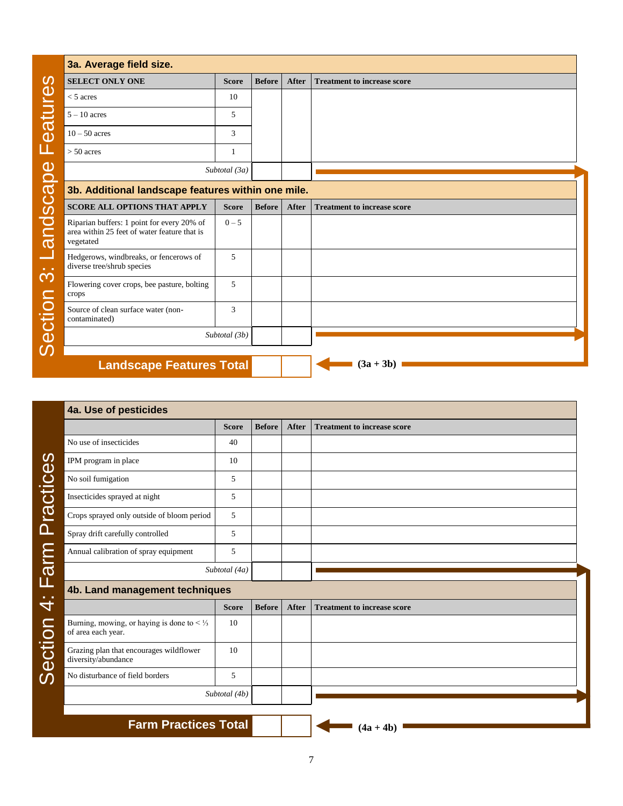| <b>SELECT ONLY ONE</b>                                               | <b>Score</b>  | <b>Before</b> | <b>After</b> | <b>Treatment to increase score</b> |
|----------------------------------------------------------------------|---------------|---------------|--------------|------------------------------------|
| $<$ 5 acres                                                          | 10            |               |              |                                    |
| $5 - 10$ acres                                                       | 5             |               |              |                                    |
| $10 - 50$ acres                                                      | 3             |               |              |                                    |
| $> 50$ acres                                                         | 1             |               |              |                                    |
|                                                                      | Subtotal (3a) |               |              |                                    |
| 3b. Additional landscape features within one mile.                   |               |               |              |                                    |
| <b>SCORE ALL OPTIONS THAT APPLY</b>                                  | <b>Score</b>  | <b>Before</b> | <b>After</b> | <b>Treatment to increase score</b> |
| Riparian buffers: 1 point for every 20% of                           | $0 - 5$       |               |              |                                    |
| area within 25 feet of water feature that is<br>vegetated            |               |               |              |                                    |
| Hedgerows, windbreaks, or fencerows of<br>diverse tree/shrub species | 5             |               |              |                                    |
| Flowering cover crops, bee pasture, bolting<br>crops                 | 5             |               |              |                                    |
| Source of clean surface water (non-<br>contaminated)                 | 3             |               |              |                                    |

| <b>Score</b>                   | <b>Before</b> | <b>After</b> | <b>Treatment to increase score</b> |
|--------------------------------|---------------|--------------|------------------------------------|
| 40                             |               |              |                                    |
| 10                             |               |              |                                    |
| 5                              |               |              |                                    |
| 5                              |               |              |                                    |
| 5                              |               |              |                                    |
| 5                              |               |              |                                    |
| 5                              |               |              |                                    |
| Subtotal (4a)                  |               |              |                                    |
| 4b. Land management techniques |               |              |                                    |
| <b>Score</b>                   | <b>Before</b> | <b>After</b> | <b>Treatment to increase score</b> |
| 10                             |               |              |                                    |
| 10                             |               |              |                                    |
| 5                              |               |              |                                    |
| Subtotal (4b)                  |               |              |                                    |
|                                |               |              |                                    |

Section 3: Landscape Features Section 3: Landscape Features